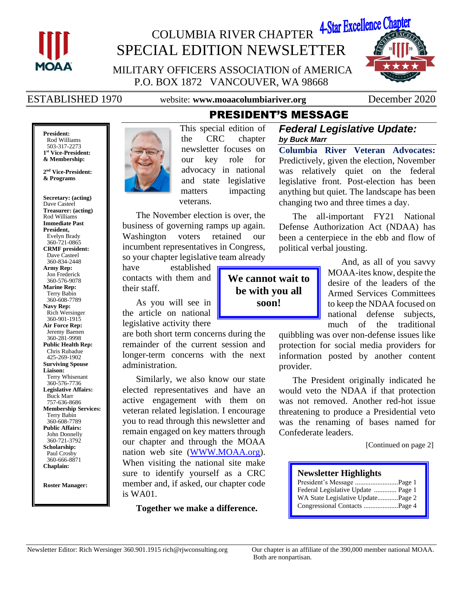

# COLUMBIA RIVER CHAPTER 4-Star Excellence Chapte SPECIAL EDITION NEWSLETTER

MILITARY OFFICERS ASSOCIATION of AMERICA P.O. BOX 1872 VANCOUVER, WA 98668

ESTABLISHED 1970 website: **www.moaacolumbiariver.org** December 2020

**We cannot wait to be with you all soon!**

**President:** Rod Williams 503-317-2273 **1 st Vice-President: & Membership:**

**2 nd Vice-President: & Programs**

**Secretary: (acting)** Dave Casteel **Treasurer: (acting)** Rod Williams **Immediate Past President,**  Evelyn Brady 360-721-0865 **CRMF president:** Dave Casteel 360-834-2448 **Army Rep:** Jon Frederick 360-576-9078 **Marine Rep:** Terry Babin 360-608-7789 **Navy Rep:** Rich Wersinger 360-901-1915 **Air Force Rep:** Jeremy Baenen 360-281-9998 **Public Health Rep:** Chris Rubadue 425-269-1902 **Surviving Spouse Liaison:** Terry Whisenant 360-576-7736 **Legislative Affairs:** Buck Marr 757-636-8686 **Membership Services:** Terry Babin 360-608-7789 **Public Affairs:** John Donnelly 360-721-3792 **Scholarship:** Paul Crosby 360-666-8871 **Chaplain:**

**Roster Manager:**



PRESIDENT'S MESSAGE This special edition of the CRC chapter newsletter focuses on our key role for advocacy in national and state legislative matters impacting veterans.

The November election is over, the business of governing ramps up again. Washington voters retained our incumbent representatives in Congress, so your chapter legislative team already

have established contacts with them and their staff.

As you will see in the article on national legislative activity there

are both short term concerns during the remainder of the current session and longer-term concerns with the next administration.

Similarly, we also know our state elected representatives and have an active engagement with them on veteran related legislation. I encourage you to read through this newsletter and remain engaged on key matters through our chapter and through the MOAA nation web site [\(WWW.MOAA.org\)](http://www.moaa.org/). When visiting the national site make sure to identify yourself as a CRC member and, if asked, our chapter code is WA01.

**Together we make a difference.**

### *Federal Legislative Update: by Buck Marr*

**Columbia River Veteran Advocates:** Predictively, given the election, November was relatively quiet on the federal legislative front. Post-election has been anything but quiet. The landscape has been changing two and three times a day.

The all-important FY21 National Defense Authorization Act (NDAA) has been a centerpiece in the ebb and flow of political verbal jousting.

> And, as all of you savvy MOAA-ites know, despite the desire of the leaders of the Armed Services Committees to keep the NDAA focused on national defense subjects, much of the traditional

quibbling was over non-defense issues like protection for social media providers for information posted by another content provider.

The President originally indicated he would veto the NDAA if that protection was not removed. Another red-hot issue threatening to produce a Presidential veto was the renaming of bases named for Confederate leaders.

[Continued on page 2]

# **Newsletter Highlights** President's Message .........................Page 1 Federal Legislative Update ............. Page 1

WA State Legislative Update............Page 2 Congressional Contacts ....................Page 4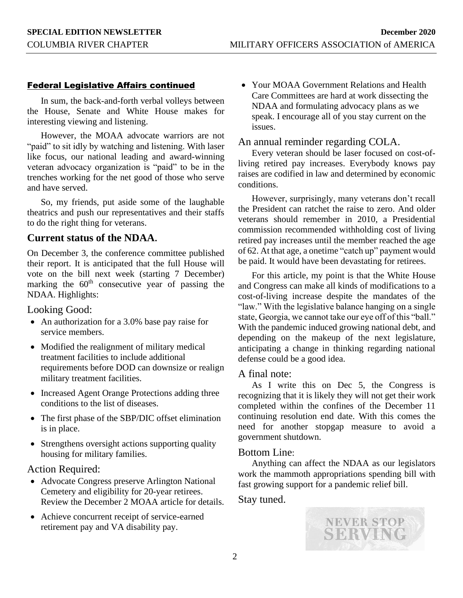#### Federal Legislative Affairs continued

In sum, the back-and-forth verbal volleys between the House, Senate and White House makes for interesting viewing and listening.

However, the MOAA advocate warriors are not "paid" to sit idly by watching and listening. With laser like focus, our national leading and award-winning veteran advocacy organization is "paid" to be in the trenches working for the net good of those who serve and have served.

So, my friends, put aside some of the laughable theatrics and push our representatives and their staffs to do the right thing for veterans.

### **Current status of the NDAA.**

On December 3, the conference committee published their report. It is anticipated that the full House will vote on the bill next week (starting 7 December) marking the  $60<sup>th</sup>$  consecutive year of passing the NDAA. Highlights:

Looking Good:

- An authorization for a 3.0% base pay raise for service members.
- Modified the realignment of military medical treatment facilities to include additional requirements before DOD can downsize or realign military treatment facilities.
- Increased Agent Orange Protections adding three conditions to the list of diseases.
- The first phase of the SBP/DIC offset elimination is in place.
- Strengthens oversight actions supporting quality housing for military families.

#### Action Required:

- Advocate Congress preserve Arlington National Cemetery and eligibility for 20-year retirees. Review the December 2 MOAA article for details.
- Achieve concurrent receipt of service-earned retirement pay and VA disability pay.

• Your MOAA Government Relations and Health Care Committees are hard at work dissecting the NDAA and formulating advocacy plans as we speak. I encourage all of you stay current on the issues.

#### An annual reminder regarding COLA.

Every veteran should be laser focused on cost-ofliving retired pay increases. Everybody knows pay raises are codified in law and determined by economic conditions.

However, surprisingly, many veterans don't recall the President can ratchet the raise to zero. And older veterans should remember in 2010, a Presidential commission recommended withholding cost of living retired pay increases until the member reached the age of 62. At that age, a onetime "catch up" payment would be paid. It would have been devastating for retirees.

For this article, my point is that the White House and Congress can make all kinds of modifications to a cost-of-living increase despite the mandates of the "law." With the legislative balance hanging on a single state, Georgia, we cannot take our eye off of this "ball." With the pandemic induced growing national debt, and depending on the makeup of the next legislature, anticipating a change in thinking regarding national defense could be a good idea.

#### A final note:

As I write this on Dec 5, the Congress is recognizing that it is likely they will not get their work completed within the confines of the December 11 continuing resolution end date. With this comes the need for another stopgap measure to avoid a government shutdown.

#### Bottom Line:

Anything can affect the NDAA as our legislators work the mammoth appropriations spending bill with fast growing support for a pandemic relief bill.

#### Stay tuned.

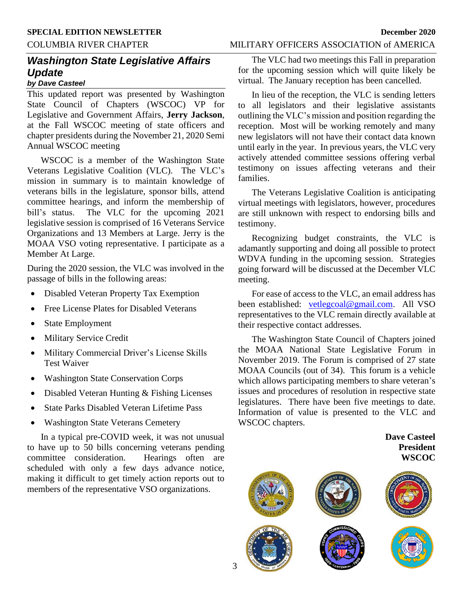# COLUMBIA RIVER CHAPTER MILITARY OFFICERS ASSOCIATION of AMERICA

## *Washington State Legislative Affairs Update by Dave Casteel*

This updated report was presented by Washington State Council of Chapters (WSCOC) VP for Legislative and Government Affairs, **Jerry Jackson**, at the Fall WSCOC meeting of state officers and chapter presidents during the November 21, 2020 Semi Annual WSCOC meeting

WSCOC is a member of the Washington State Veterans Legislative Coalition (VLC). The VLC's mission in summary is to maintain knowledge of veterans bills in the legislature, sponsor bills, attend committee hearings, and inform the membership of bill's status. The VLC for the upcoming 2021 legislative session is comprised of 16 Veterans Service Organizations and 13 Members at Large. Jerry is the MOAA VSO voting representative. I participate as a Member At Large.

During the 2020 session, the VLC was involved in the passage of bills in the following areas:

- Disabled Veteran Property Tax Exemption
- Free License Plates for Disabled Veterans
- State Employment
- Military Service Credit
- Military Commercial Driver's License Skills Test Waiver
- Washington State Conservation Corps
- Disabled Veteran Hunting & Fishing Licenses
- State Parks Disabled Veteran Lifetime Pass
- Washington State Veterans Cemetery

In a typical pre-COVID week, it was not unusual to have up to 50 bills concerning veterans pending committee consideration. Hearings often are scheduled with only a few days advance notice, making it difficult to get timely action reports out to members of the representative VSO organizations.

The VLC had two meetings this Fall in preparation for the upcoming session which will quite likely be virtual. The January reception has been cancelled.

In lieu of the reception, the VLC is sending letters to all legislators and their legislative assistants outlining the VLC's mission and position regarding the reception. Most will be working remotely and many new legislators will not have their contact data known until early in the year. In previous years, the VLC very actively attended committee sessions offering verbal testimony on issues affecting veterans and their families.

The Veterans Legislative Coalition is anticipating virtual meetings with legislators, however, procedures are still unknown with respect to endorsing bills and testimony.

Recognizing budget constraints, the VLC is adamantly supporting and doing all possible to protect WDVA funding in the upcoming session. Strategies going forward will be discussed at the December VLC meeting.

For ease of access to the VLC, an email address has been established: [vetlegcoal@gmail.com.](mailto:vetlegcoal@gmail.com) All VSO representatives to the VLC remain directly available at their respective contact addresses.

The Washington State Council of Chapters joined the MOAA National State Legislative Forum in November 2019. The Forum is comprised of 27 state MOAA Councils (out of 34). This forum is a vehicle which allows participating members to share veteran's issues and procedures of resolution in respective state legislatures. There have been five meetings to date. Information of value is presented to the VLC and WSCOC chapters.

> **Dave Casteel President WSCOC**